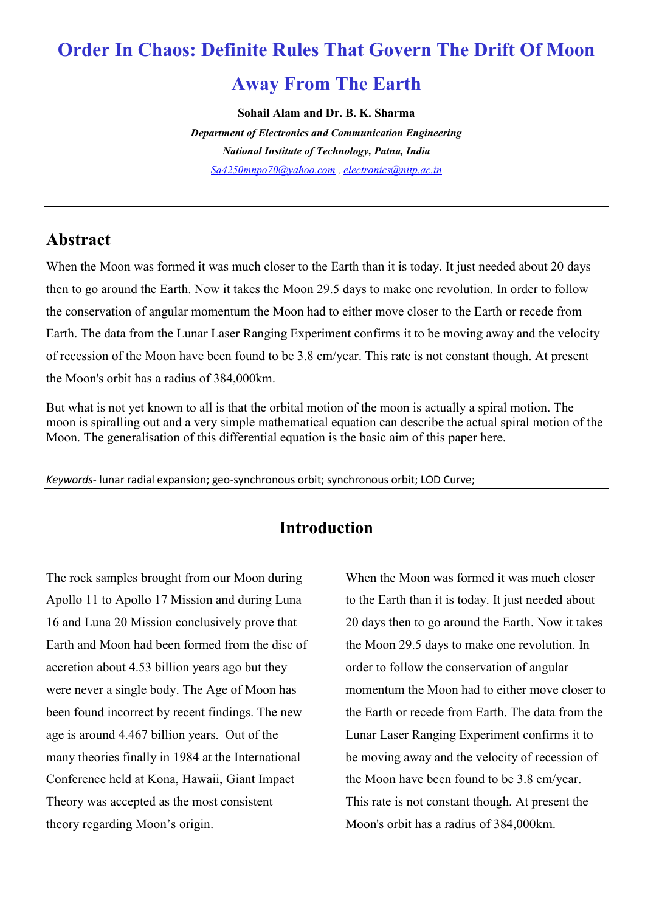# **Order In Chaos: Definite Rules That Govern The Drift Of Moon**

# **Away From The Earth**

**Sohail Alam and Dr. B. K. Sharma**

*Department of Electronics and Communication Engineering National Institute of Technology, Patna, India [Sa4250mnpo70@yahoo.com](mailto:Sa4250mnpo70@yahoo.com) , [electronics@nitp.ac.in](mailto:electronics@nitp.ac.in)*

#### **Abstract**

When the Moon was formed it was much closer to the Earth than it is today. It just needed about 20 days then to go around the Earth. Now it takes the Moon 29.5 days to make one revolution. In order to follow the conservation of angular momentum the Moon had to either move closer to the Earth or recede from Earth. The data from the Lunar Laser Ranging Experiment confirms it to be moving away and the velocity of recession of the Moon have been found to be 3.8 cm/year. This rate is not constant though. At present the Moon's orbit has a radius of 384,000km.

But what is not yet known to all is that the orbital motion of the moon is actually a spiral motion. The moon is spiralling out and a very simple mathematical equation can describe the actual spiral motion of the Moon. The generalisation of this differential equation is the basic aim of this paper here.

*Keywords-* lunar radial expansion; geo-synchronous orbit; synchronous orbit; LOD Curve;

## **Introduction**

The rock samples brought from our Moon during Apollo 11 to Apollo 17 Mission and during Luna 16 and Luna 20 Mission conclusively prove that Earth and Moon had been formed from the disc of accretion about 4.53 billion years ago but they were never a single body. The Age of Moon has been found incorrect by recent findings. The new age is around 4.467 billion years. Out of the many theories finally in 1984 at the International Conference held at Kona, Hawaii, Giant Impact Theory was accepted as the most consistent theory regarding Moon's origin.

When the Moon was formed it was much closer to the Earth than it is today. It just needed about 20 days then to go around the Earth. Now it takes the Moon 29.5 days to make one revolution. In order to follow the conservation of angular momentum the Moon had to either move closer to the Earth or recede from Earth. The data from the Lunar Laser Ranging Experiment confirms it to be moving away and the velocity of recession of the Moon have been found to be 3.8 cm/year. This rate is not constant though. At present the Moon's orbit has a radius of 384,000km.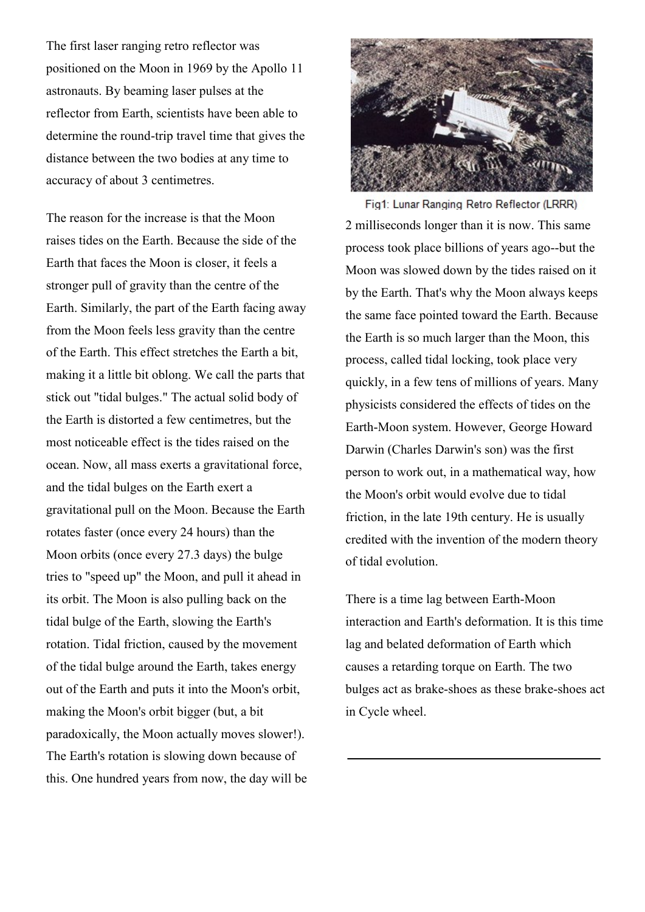The first laser ranging retro reflector was positioned on the Moon in 1969 by the Apollo 11 astronauts. By beaming laser pulses at the reflector from Earth, scientists have been able to determine the round-trip travel time that gives the distance between the two bodies at any time to accuracy of about 3 centimetres.

The reason for the increase is that the Moon raises tides on the Earth. Because the side of the Earth that faces the Moon is closer, it feels a stronger pull of gravity than the centre of the Earth. Similarly, the part of the Earth facing away from the Moon feels less gravity than the centre of the Earth. This effect stretches the Earth a bit, making it a little bit oblong. We call the parts that stick out "tidal bulges." The actual solid body of the Earth is distorted a few centimetres, but the most noticeable effect is the tides raised on the ocean. Now, all mass exerts a gravitational force, and the tidal bulges on the Earth exert a gravitational pull on the Moon. Because the Earth rotates faster (once every 24 hours) than the Moon orbits (once every 27.3 days) the bulge tries to "speed up" the Moon, and pull it ahead in its orbit. The Moon is also pulling back on the tidal bulge of the Earth, slowing the Earth's rotation. Tidal friction, caused by the movement of the tidal bulge around the Earth, takes energy out of the Earth and puts it into the Moon's orbit, making the Moon's orbit bigger (but, a bit paradoxically, the Moon actually moves slower!). The Earth's rotation is slowing down because of this. One hundred years from now, the day will be



Fig1: Lunar Ranging Retro Reflector (LRRR) 2 milliseconds longer than it is now. This same process took place billions of years ago--but the Moon was slowed down by the tides raised on it by the Earth. That's why the Moon always keeps the same face pointed toward the Earth. Because the Earth is so much larger than the Moon, this process, called tidal locking, took place very quickly, in a few tens of millions of years. Many physicists considered the effects of tides on the Earth-Moon system. However, George Howard Darwin (Charles Darwin's son) was the first person to work out, in a mathematical way, how the Moon's orbit would evolve due to tidal friction, in the late 19th century. He is usually credited with the invention of the modern theory of tidal evolution.

There is a time lag between Earth-Moon interaction and Earth's deformation. It is this time lag and belated deformation of Earth which causes a retarding torque on Earth. The two bulges act as brake-shoes as these brake-shoes act in Cycle wheel.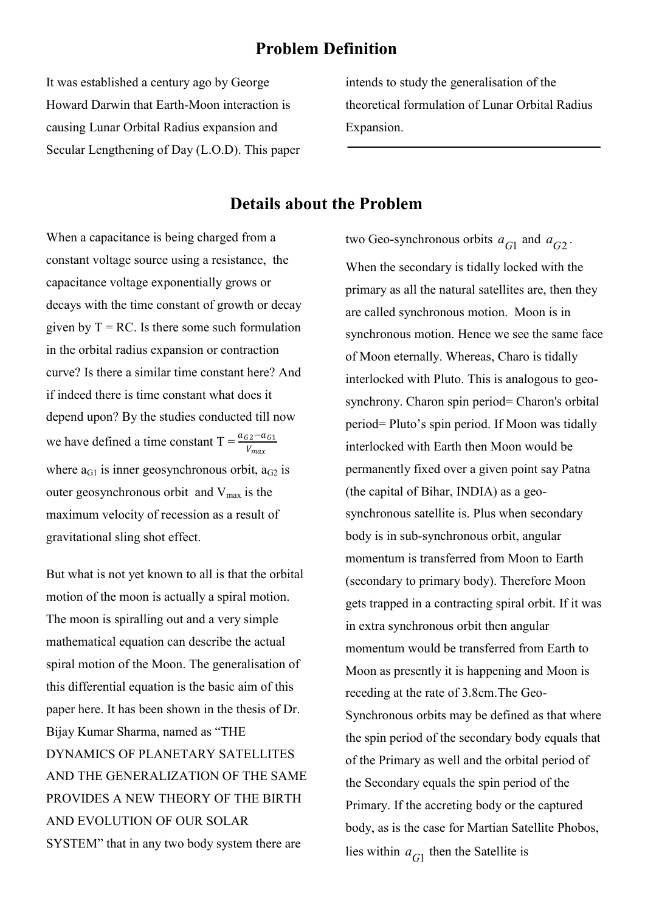#### **Problem Definition**

It was established a century ago by George Howard Darwin that Earth-Moon interaction is causing Lunar Orbital Radius expansion and Secular Lengthening of Day (L.O.D). This paper intends to study the generalisation of the theoretical formulation of Lunar Orbital Radius Expansion.

#### **Details about the Problem**

When a capacitance is being charged from a constant voltage source using a resistance, the capacitance voltage exponentially grows or decays with the time constant of growth or decay given by  $T = RC$ . Is there some such formulation in the orbital radius expansion or contraction curve? Is there a similar time constant here? And if indeed there is time constant what does it depend upon? By the studies conducted till now we have defined a time constant  $T = \frac{a_{G2} - a_{G1}}{V}$  $V_{max}$ where  $a_{G1}$  is inner geosynchronous orbit,  $a_{G2}$  is outer geosynchronous orbit and  $V_{\text{max}}$  is the maximum velocity of recession as a result of gravitational sling shot effect.

But what is not yet known to all is that the orbital motion of the moon is actually a spiral motion. The moon is spiralling out and a very simple mathematical equation can describe the actual spiral motion of the Moon. The generalisation of this differential equation is the basic aim of this paper here. It has been shown in the thesis of Dr. Bijay Kumar Sharma, named as "THE DYNAMICS OF PLANETARY SATELLITES AND THE GENERALIZATION OF THE SAME PROVIDES A NEW THEORY OF THE BIRTH AND EVOLUTION OF OUR SOLAR SYSTEM" that in any two body system there are

two Geo-synchronous orbits  $a_{G1}$  and  $a_{G2}$ . When the secondary is tidally locked with the primary as all the natural satellites are, then they are called synchronous motion. Moon is in synchronous motion. Hence we see the same face of Moon eternally. Whereas, Charo is tidally interlocked with Pluto. This is analogous to geosynchrony. Charon spin period= Charon's orbital period= Pluto's spin period. If Moon was tidally interlocked with Earth then Moon would be permanently fixed over a given point say Patna (the capital of Bihar, INDIA) as a geosynchronous satellite is. Plus when secondary body is in sub-synchronous orbit, angular momentum is transferred from Moon to Earth (secondary to primary body). Therefore Moon gets trapped in a contracting spiral orbit. If it was in extra synchronous orbit then angular momentum would be transferred from Earth to Moon as presently it is happening and Moon is receding at the rate of 3.8cm.The Geo-Synchronous orbits may be defined as that where the spin period of the secondary body equals that of the Primary as well and the orbital period of the Secondary equals the spin period of the Primary. If the accreting body or the captured body, as is the case for Martian Satellite Phobos, lies within  $a_{G1}$  then the Satellite is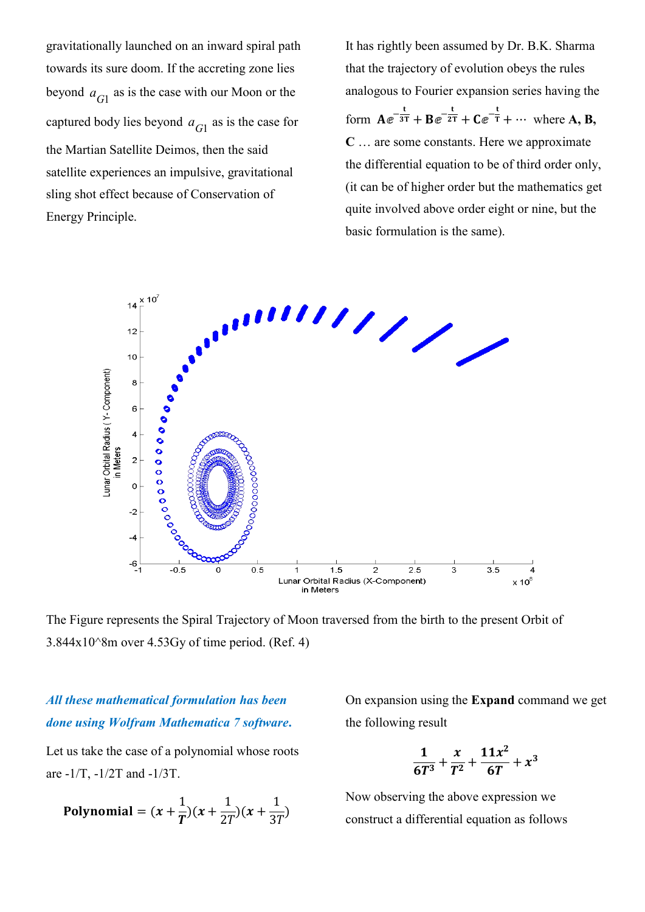gravitationally launched on an inward spiral path towards its sure doom. If the accreting zone lies beyond  $a_{G1}$  as is the case with our Moon or the captured body lies beyond  $a_{G1}$  as is the case for the Martian Satellite Deimos, then the said satellite experiences an impulsive, gravitational sling shot effect because of Conservation of Energy Principle.

It has rightly been assumed by Dr. B.K. Sharma that the trajectory of evolution obeys the rules analogous to Fourier expansion series having the form  $Ae^{-\frac{t}{3T}} + Be^{-\frac{t}{2T}} + Ce^{-\frac{t}{T}} + \cdots$  where A, B, **C** … are some constants. Here we approximate the differential equation to be of third order only, (it can be of higher order but the mathematics get quite involved above order eight or nine, but the basic formulation is the same).



The Figure represents the Spiral Trajectory of Moon traversed from the birth to the present Orbit of  $3.844x10^8$ m over  $4.53Gy$  of time period. (Ref. 4)

#### *All these mathematical formulation has been done using Wolfram Mathematica 7 software***.**

Let us take the case of a polynomial whose roots are -1/T, -1/2T and -1/3T.

**Polynomial** = 
$$
(x + \frac{1}{T})(x + \frac{1}{2T})(x + \frac{1}{3T})
$$

On expansion using the **Expand** command we get the following result

$$
\frac{1}{6T^3} + \frac{x}{T^2} + \frac{11x^2}{6T} + x^3
$$

Now observing the above expression we construct a differential equation as follows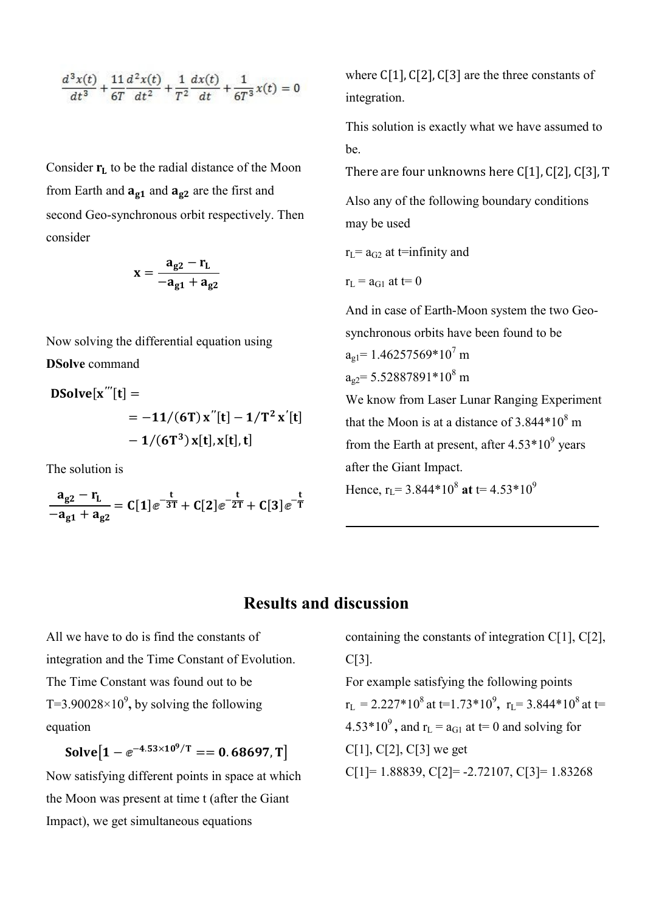$$
\frac{d^3x(t)}{dt^3} + \frac{11}{6T}\frac{d^2x(t)}{dt^2} + \frac{1}{T^2}\frac{dx(t)}{dt} + \frac{1}{6T^3}x(t) = 0
$$

Consider  $r_L$  to be the radial distance of the Moon from Earth and  $a_{g1}$  and  $a_{g2}$  are the first and second Geo-synchronous orbit respectively. Then consider

$$
x=\frac{a_{g2}-r_L}{-a_{g1}+a_{g2}}
$$

Now solving the differential equation using **DSolve** command

 **′′′** = = − **′′** − **′** − , ,

The solution is

$$
\frac{a_{g2}-r_L}{-a_{g1}+a_{g2}}=C[1]\text{e}^{-\frac{t}{3T}}+C[2]\text{e}^{-\frac{t}{2T}}+C[3]\text{e}^{-\frac{t}{T}}
$$

where  $C[1]$ ,  $C[2]$ ,  $C[3]$  are the three constants of integration.

This solution is exactly what we have assumed to be.

There are four unknowns here C[1], C[2], C[3], T

Also any of the following boundary conditions may be used

 $r<sub>L</sub>= a<sub>G2</sub>$  at t=infinity and

$$
r_{\rm L} = a_{\rm G1}
$$
 at t= 0

And in case of Earth-Moon system the two Geosynchronous orbits have been found to be  $a_{\alpha 1}$  = 1.46257569\*10<sup>7</sup> m  $a_{92}$ = 5.52887891\*10<sup>8</sup> m

We know from Laser Lunar Ranging Experiment that the Moon is at a distance of  $3.844*10<sup>8</sup>$  m from the Earth at present, after  $4.53*10^9$  years after the Giant Impact.

Hence,  $r_L$ = 3.844\*10<sup>8</sup> at t= 4.53\*10<sup>9</sup>

#### **Results and discussion**

All we have to do is find the constants of integration and the Time Constant of Evolution. The Time Constant was found out to be T=3.90028 $\times$ 10<sup>9</sup>, by solving the following equation

 $Solve [1 - e^{-4.53 \times 10^9/T} == 0.68697,T]$ 

Now satisfying different points in space at which the Moon was present at time t (after the Giant Impact), we get simultaneous equations

containing the constants of integration C[1], C[2], C[3].

For example satisfying the following points  $r_L = 2.227*10^8$  at t=1.73\*10<sup>9</sup>,  $r_L = 3.844*10^8$  at t=  $4.53*10<sup>9</sup>$ , and r<sub>L</sub> = a<sub>G1</sub> at t= 0 and solving for C[1], C[2], C[3] we get  $C[1]= 1.88839, C[2]= -2.72107, C[3]= 1.83268$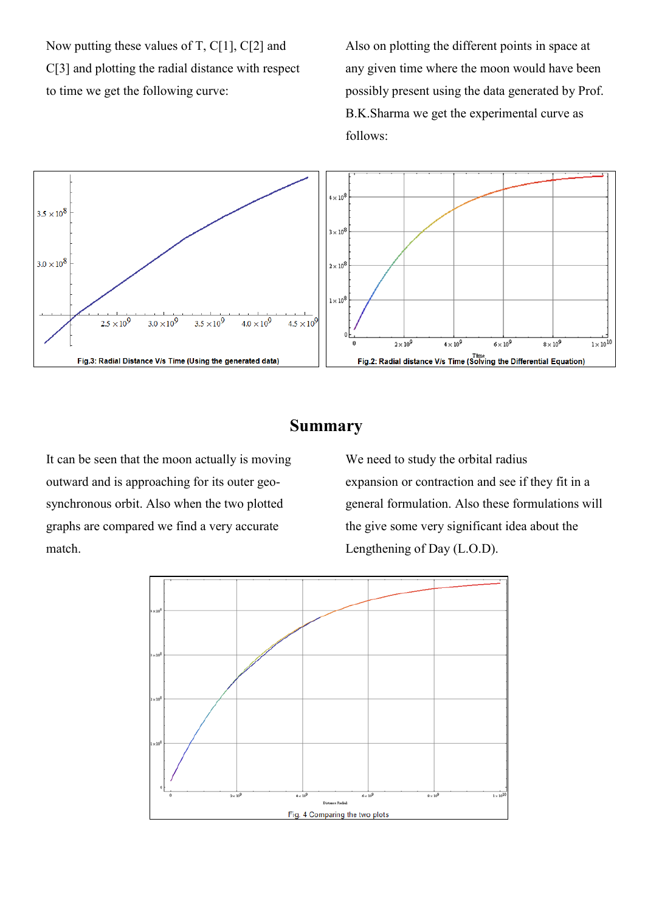Now putting these values of T, C[1], C[2] and C[3] and plotting the radial distance with respect to time we get the following curve:

Also on plotting the different points in space at any given time where the moon would have been possibly present using the data generated by Prof. B.K.Sharma we get the experimental curve as follows:



#### **Summary**

It can be seen that the moon actually is moving outward and is approaching for its outer geosynchronous orbit. Also when the two plotted graphs are compared we find a very accurate match.

We need to study the orbital radius expansion or contraction and see if they fit in a general formulation. Also these formulations will the give some very significant idea about the Lengthening of Day (L.O.D).